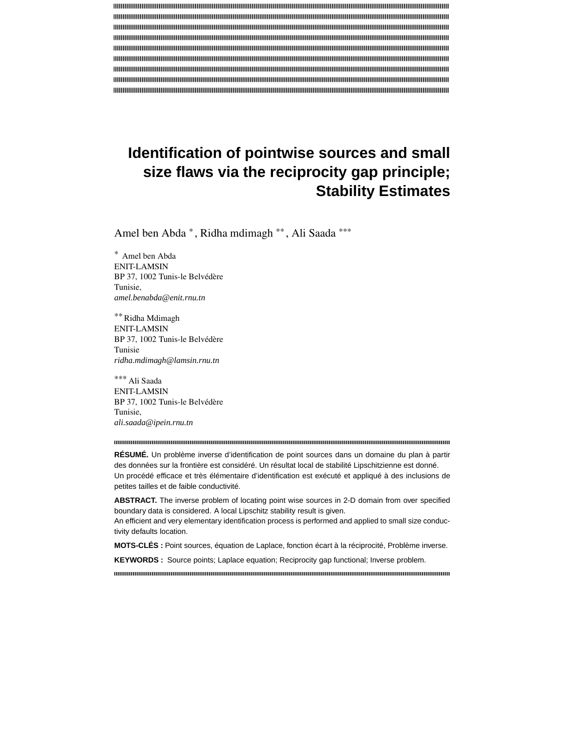# **Identification of pointwise sources and small size flaws via the reciprocity gap principle; Stability Estimates**

Amel ben Abda \* , Ridha mdimagh \*\* , Ali Saada \*\*\*

\* Amel ben Abda ENIT-LAMSIN BP 37, 1002 Tunis-le Belvédère Tunisie, *amel.benabda@enit.rnu.tn*

\*\* Ridha Mdimagh ENIT-LAMSIN BP 37, 1002 Tunis-le Belvédère Tunisie *ridha.mdimagh@lamsin.rnu.tn*

\*\*\* Ali Saada ENIT-LAMSIN BP 37, 1002 Tunis-le Belvédère Tunisie, *ali.saada@ipein.rnu.tn*

**RÉSUMÉ.** Un problème inverse d'identification de point sources dans un domaine du plan à partir des données sur la frontière est considéré. Un résultat local de stabilité Lipschitzienne est donné. Un procédé efficace et très élémentaire d'identification est exécuté et appliqué à des inclusions de petites tailles et de faible conductivité.

**ABSTRACT.** The inverse problem of locating point wise sources in 2-D domain from over specified boundary data is considered. A local Lipschitz stability result is given.

An efficient and very elementary identification process is performed and applied to small size conductivity defaults location.

**MOTS-CLÉS :** Point sources, équation de Laplace, fonction écart à la réciprocité, Problème inverse.

**KEYWORDS :** Source points; Laplace equation; Reciprocity gap functional; Inverse problem.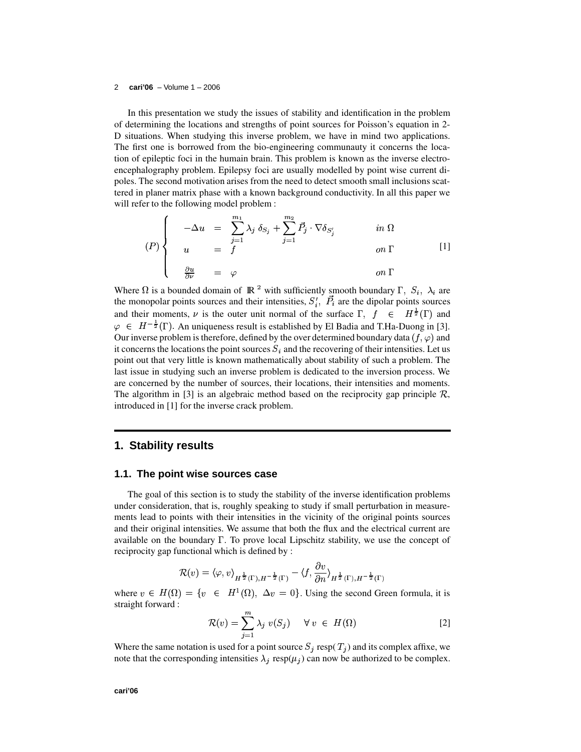In this presentation we study the issues of stability and identification in the problem of determining the locations and strengths of point sources for Poisson's equation in 2- D situations. When studying this inverse problem, we have in mind two applications. The first one is borrowed from the bio-engineering communauty it concerns the location of epileptic foci in the humain brain. This problem is known as the inverse electroencephalography problem. Epilepsy foci are usually modelled by point wise current dipoles. The second motivation arises from the need to detect smooth small inclusions scattered in planer matrix phase with a known background conductivity. In all this paper we will refer to the following model problem :

$$
(P)\begin{cases}\n-\Delta u = \sum_{j=1}^{m_1} \lambda_j \delta_{S_j} + \sum_{j=1}^{m_2} \vec{P}_j \cdot \nabla \delta_{S'_j} & \text{in } \Omega \\
u = f & \text{on } \Gamma\n\end{cases}
$$
\n
$$
(P)\begin{cases}\n\frac{\partial u}{\partial \nu} = \varphi & \text{on } \Gamma\n\end{cases}
$$
\n
$$
(1)
$$

Where  $\Omega$  is a bounded domain of  $\mathbb{R}^2$  with sufficiently smooth boundary  $\Gamma$ ,  $S_i$ ,  $\lambda_i$  are the monopolar points sources and their intensities,  $S_i^{\prime}$ ,  $P_i$  are the dipolar points sources and their moments,  $\nu$  is the outer unit normal of the surface  $\Gamma$ ,  $f \in H^{\frac{1}{2}}(\Gamma)$  and  $\varphi \in H^{-\frac{1}{2}}(\Gamma)$ . An uniqueness result is established by El Badia and T.Ha-Duong in [3]. Our inverse problem is therefore, defined by the over determined boundary data  $(f, \varphi)$  and it concerns the locations the point sources  $S_i$  and the recovering of their intensities. Let us point out that very little is known mathematically about stability of such a problem. The last issue in studying such an inverse problem is dedicated to the inversion process. We are concerned by the number of sources, their locations, their intensities and moments. The algorithm in [3] is an algebraic method based on the reciprocity gap principle  $\mathcal{R}$ , introduced in [1] for the inverse crack problem.

## **1. Stability results**

#### **1.1. The point wise sources case**

The goal of this section is to study the stability of the inverse identification problems under consideration, that is, roughly speaking to study if small perturbation in measurements lead to points with their intensities in the vicinity of the original points sources and their original intensities. We assume that both the flux and the electrical current are available on the boundary  $\Gamma$ . To prove local Lipschitz stability, we use the concept of reciprocity gap functional which is defined by :

$$
\mathcal{R}(v) = \langle \varphi, v \rangle_{H^{\frac{1}{2}}(\Gamma), H^{-\frac{1}{2}}(\Gamma)} - \langle f, \frac{\partial v}{\partial n} \rangle_{H^{\frac{1}{2}}(\Gamma), H^{-\frac{1}{2}}(\Gamma)}
$$

where  $v \in H(\Omega) = \{v \in H^1(\Omega), \Delta v = 0\}$ . Using the second Green formula, it is straight forward :

$$
\mathcal{R}(v) = \sum_{j=1}^{m} \lambda_j v(S_j) \quad \forall v \in H(\Omega)
$$
 [2]

Where the same notation is used for a point source  $S_i$  resp( $T_i$ ) and its complex affixe, we note that the corresponding intensities  $\lambda_i$  resp( $\mu_i$ ) can now be authorized to be complex.

**cari'06**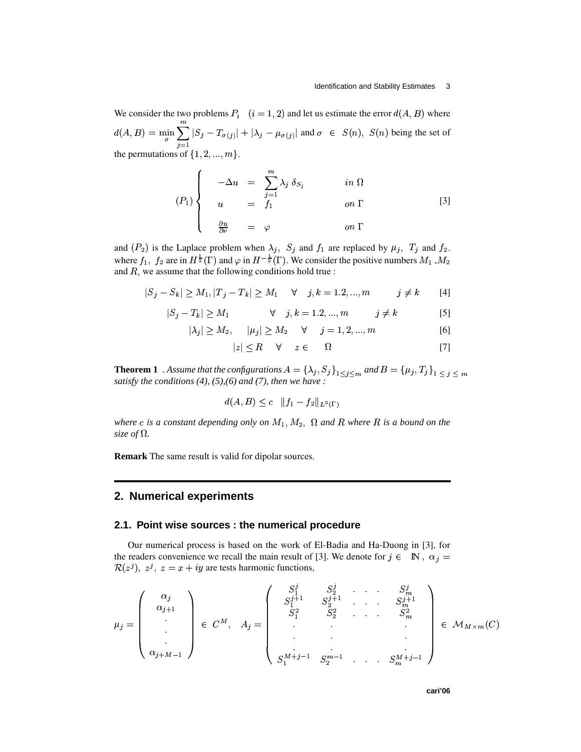We consider the two problems  $P_i$   $(i = 1, 2)$  and let us estimate the error  $d(A, B)$  where  $d(A,B) \,=\, \min_{\sigma} \sum_{j} |S_j - T_{\sigma(j)}| + |\lambda_j - \mu_{\sigma(j)}| \, ;$  $|S_j - T_{\sigma(j)}| + |\lambda_j|$ l 11  $j = \mu_{\sigma}(j)$  and  $\sigma$ and  $\sigma \in S(n)$ ,  $S(n)$  being the set of the permutations of  $\{1, 2, ..., m\}$ .

$$
(P_1)\begin{cases}\n-\Delta u = \sum_{j=1}^{m} \lambda_j \delta_{S_j} & \text{in } \Omega \\
u = f_1 & \text{on } \Gamma\n\end{cases}
$$
\n
$$
\begin{array}{c}\n\frac{\partial u}{\partial \nu} = \varphi & \text{on } \Gamma\n\end{array}
$$
\n
$$
(3)
$$

and  $(P_2)$  is the Laplace problem when  $\lambda_j$ ,  $S_j$  and  $f_1$  are replaced by  $\mu_j$ ,  $T_j$  and  $f_2$ . where  $f_1$ ,  $f_2$  are in  $H^{\frac{1}{2}}(\Gamma)$  and  $\varphi$  in  $H^{-\frac{1}{2}}(\Gamma)$ . We consider the positive numbers  $M_1$ ,  $M_2$ and  $\overline{R}$ , we assume that the following conditions hold true :

$$
|S_j - S_k| \ge M_1, |T_j - T_k| \ge M_1 \quad \forall \quad j, k = 1, 2, ..., m \quad j \ne k \quad [4]
$$

$$
|S_j - T_k| \ge M_1 \qquad \forall \quad j, k = 1, 2, ..., m \qquad j \ne k \qquad [5]
$$

$$
|\lambda_j| \ge M_2, \quad |\mu_j| \ge M_2 \quad \forall \quad j = 1, 2, ..., m
$$
 [6]

$$
|z| \le R \quad \forall \quad z \in \quad \Omega \tag{7}
$$

**Theorem 1** . Assume that the configurations  $A = \{\lambda_j, S_j\}_{1 \leq j \leq m}$  and  $B = \{\mu_j, T_j\}_{1 \leq j \leq m}$ *satisfy the conditions* (4), (5), (6) *and* (7), *then we have :*  $\overline{\phantom{a}}$   $\overline{\phantom{a}}$   $\overline{\phantom{a}}$   $\overline{\phantom{a}}$   $\overline{\phantom{a}}$   $\overline{\phantom{a}}$   $\overline{\phantom{a}}$   $\overline{\phantom{a}}$   $\overline{\phantom{a}}$   $\overline{\phantom{a}}$   $\overline{\phantom{a}}$   $\overline{\phantom{a}}$ 

$$
d(A, B) \le c \quad \|f_1 - f_2\|_{L^2(\Gamma)}
$$

*where* c is a constant depending only on  $M_1, M_2, \Omega$  and R where R is a bound on the *size* of  $\Omega$ *.* 

**Remark** The same result is valid for dipolar sources.

## **2. Numerical experiments**

#### **2.1. Point wise sources : the numerical procedure**

Our numerical process is based on the work of El-Badia and Ha-Duong in [3], for the readers convenience we recall the main result of [3]. We denote for  $j \in \mathbb{N}$ ,  $\alpha_j =$ <sup>I</sup>  $(z^{j}), z^{j}, z = x + iy$  are tests harmonic functions,

$$
\mu_{j} = \begin{pmatrix} \alpha_{j} \\ \alpha_{j+1} \\ \cdot \\ \cdot \\ \alpha_{j+M-1} \end{pmatrix} \in C^{M}, \quad A_{j} = \begin{pmatrix} S_{1}^{j} & S_{2}^{j} & \dots & S_{m}^{j} \\ S_{1}^{j+1} & S_{2}^{j+1} & \dots & S_{m}^{j+1} \\ S_{1}^{2} & S_{2}^{2} & \dots & S_{m}^{2} \\ \cdot & \cdot & \cdot & \cdot \\ S_{1}^{M+j-1} & S_{2}^{m-1} & \dots & S_{m}^{M+j-1} \end{pmatrix} \in M_{M \times m}(C)
$$

the contract of the contract of the contract of the contract of the contract of the contract of the contract of

the contract of the contract of the contract of the contract of the contract of the contract of the contract of

**cari'06**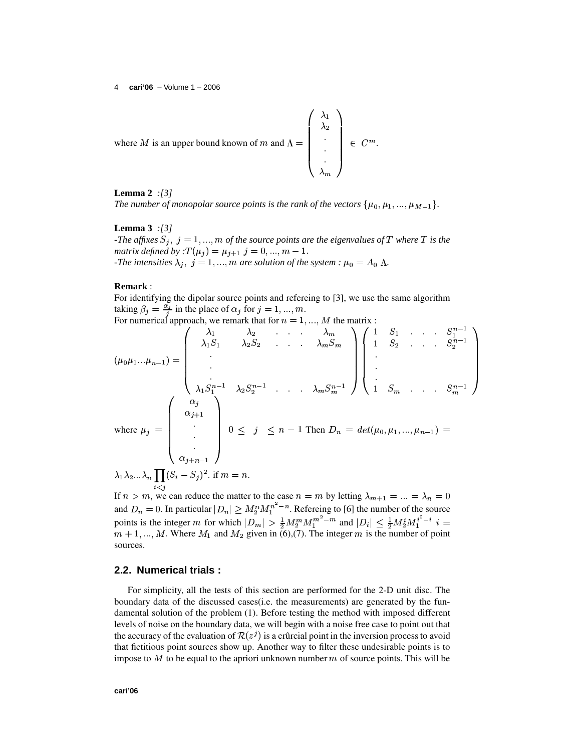where *M* is an upper bound known of *m* and 
$$
\Lambda = \begin{pmatrix} \lambda_1 \\ \lambda_2 \\ \cdot \\ \cdot \\ \cdot \\ \lambda_m \end{pmatrix} \in C^m
$$
.

## **Lemma 2** *:[3]*

*The number of monopolar source points is the rank of the vectors*  $\{\mu_0, \mu_1, ..., \mu_{M-1}\}.$ 

## **Lemma 3** *:[3] -The affixes*  $S_i$ ,  $j = 1, ..., m$  *of the source points are the eigenvalues of*  $T$  *where*  $T$  *is the matrix defined by* :  $T(\mu_i) = \mu_{i+1}$   $j = 0, ..., m - 1$ . *-The intensities*  $\lambda_i$ ,  $j = 1, ..., m$  are solution of the system :  $\mu_0 = A_0 \Lambda$ .

### **Remark** :

For identifying the dipolar source points and refereing to [3], we use the same algorithm taking  $\beta_i = \frac{\alpha_i}{i}$  in the place of  $\alpha_i$  for  $j = 1, ..., m$ . For numerical approach, we remark that for  $n = 1, ..., M$  the matrix :

$$
(\mu_0 \mu_1 \dots \mu_{n-1}) = \begin{pmatrix} \lambda_1 & \lambda_2 & \dots & \lambda_m \\ \lambda_1 S_1 & \lambda_2 S_2 & \dots & \lambda_m S_m \\ \cdot & \cdot & \cdot & \cdot \\ \cdot & \cdot & \cdot & \cdot \\ \lambda_1 S_1^{n-1} & \lambda_2 S_2^{n-1} & \dots & \lambda_m S_m^{n-1} \end{pmatrix} \begin{pmatrix} 1 & S_1 & \dots & S_1^{n-1} \\ 1 & S_2 & \dots & S_2^{n-1} \\ \cdot & \cdot & \cdot & \cdot \\ \cdot & \cdot & \cdot & \cdot \\ \cdot & \cdot & \cdot & \cdot \\ \cdot & \cdot & \cdot & \cdot \\ \cdot & \cdot & \cdot & \cdot \\ \cdot & \cdot & \cdot & \cdot \\ \cdot & \cdot & \cdot & \cdot \end{pmatrix}
$$
  
\nwhere  $\mu_j = \begin{pmatrix} \alpha_j \\ \alpha_j \\ \vdots \\ \alpha_{j+1} \\ \vdots \\ \alpha_{j+n-1} \end{pmatrix} \quad 0 \leq j \leq n-1$  Then  $D_n = det(\mu_0, \mu_1, ..., \mu_{n-1}) = \lambda_1 \lambda_2 ... \lambda_n \prod (S_i - S_j)^2$ . if  $m = n$ .

? ? ? ?

 $\lambda_n = 0$ 

 $\prod_{i=1}^n$   $\prod_{j=1}^n$   $\binom{n}{j}$   $\ldots$   $\ldots$ If  $n > m$ , we can reduce the matter to the case  $n = m$  by letting  $\lambda_{m+1}$ . a numhar of tha c  $\therefore$   $\lambda$   $-$  0 and  $D_n = 0$ . In particular  $|D_n| \ge M_2^n M_1^{n-m}$ . Refereing to [6] the number of the source points is the integer m for which  $|D_m| > \frac{1}{2} M_2^m M_1^{m^2}$  $m+1, ..., M$ . Where  $M_1$  and  $M_2$  given in (6),(7). The integer m is the number of point s the integer m for which  $|D_m| > \frac{1}{2} M_1^m M_1^{m^2-m}$  and  $|D_i| \leq \frac{1}{2} M_2^i M_1^{i^2-i}$   $i =$ 

#### **2.2. Numerical trials :**

For simplicity, all the tests of this section are performed for the 2-D unit disc. The boundary data of the discussed cases(i.e. the measurements) are generated by the fundamental solution of the problem (1). Before testing the method with imposed different levels of noise on the boundary data, we will begin with a noise free case to point out that the accuracy of the evaluation of  $\mathcal{R}(z^j)$  is a crûrcial point in the inversion process to avoid that fictitious point sources show up. Another way to filter these undesirable points is to impose to  $M$  to be equal to the apriori unknown number  $m$  of source points. This will be

sources.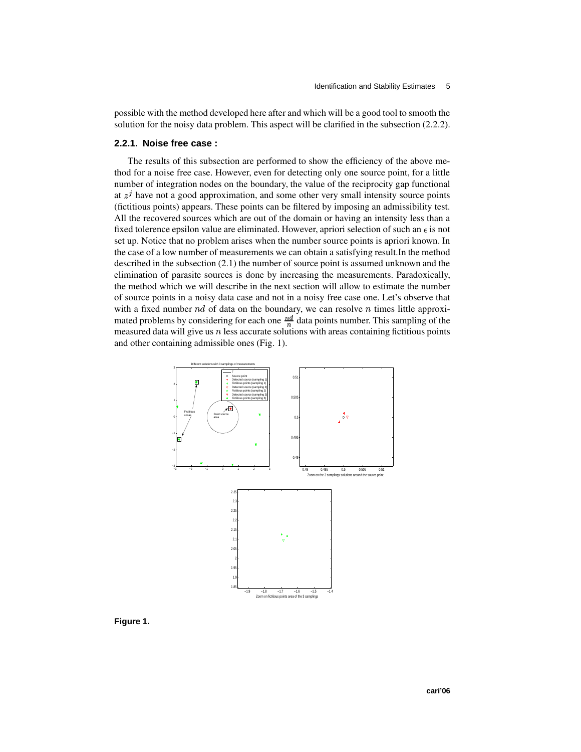possible with the method developed here after and which will be a good tool to smooth the solution for the noisy data problem. This aspect will be clarified in the subsection (2.2.2).

#### **2.2.1. Noise free case :**

The results of this subsection are performed to show the efficiency of the above method for a noise free case. However, even for detecting only one source point, for a little number of integration nodes on the boundary, the value of the reciprocity gap functional at  $z<sup>j</sup>$  have not a good approximation, and some other very small intensity source points (fictitious points) appears. These points can be filtered by imposing an admissibility test. All the recovered sources which are out of the domain or having an intensity less than a fixed tolerence epsilon value are eliminated. However, apriori selection of such an  $\epsilon$  is not set up. Notice that no problem arises when the number source points is apriori known. In the case of a low number of measurements we can obtain a satisfying result.In the method described in the subsection (2.1) the number of source point is assumed unknown and the elimination of parasite sources is done by increasing the measurements. Paradoxically, the method which we will describe in the next section will allow to estimate the number of source points in a noisy data case and not in a noisy free case one. Let's observe that with a fixed number  $nd$  of data on the boundary, we can resolve  $n$  times little approximated problems by considering for each one  $\frac{nd}{n}$  data points number. This sampling of the measured data will give us  $n$  less accurate solutions with areas containing fictitious points and other containing admissible ones (Fig. 1).



**Figure 1.**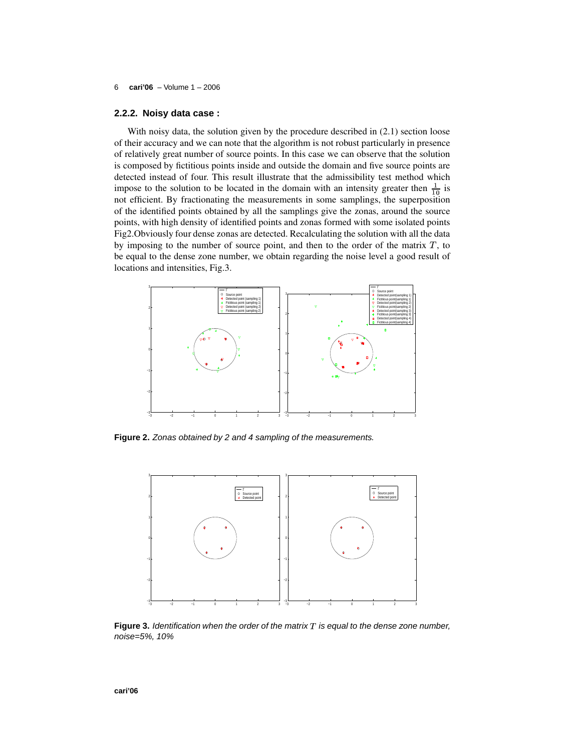#### **2.2.2. Noisy data case :**

With noisy data, the solution given by the procedure described in (2.1) section loose of their accuracy and we can note that the algorithm is not robust particularly in presence of relatively great number of source points. In this case we can observe that the solution is composed by fictitious points inside and outside the domain and five source points are detected instead of four. This result illustrate that the admissibility test method which impose to the solution to be located in the domain with an intensity greater then  $\frac{1}{10}$  is not efficient. By fractionating the measurements in some samplings, the superposition of the identified points obtained by all the samplings give the zonas, around the source points, with high density of identified points and zonas formed with some isolated points Fig2.Obviously four dense zonas are detected. Recalculating the solution with all the data by imposing to the number of source point, and then to the order of the matrix  $T$ , to be equal to the dense zone number, we obtain regarding the noise level a good result of locations and intensities, Fig.3.



**Figure 2.** Zonas obtained by 2 and 4 sampling of the measurements.



Figure 3. Identification when the order of the matrix T is equal to the dense zone number, noise=5%, 10%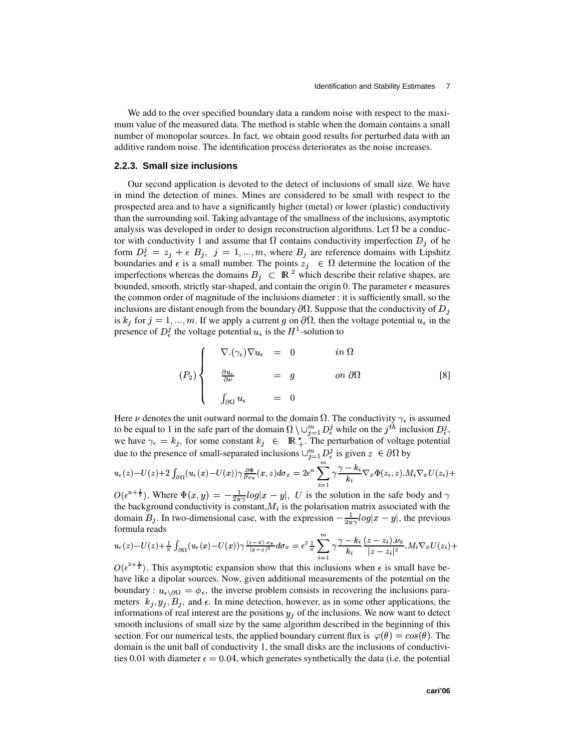We add to the over specified boundary data a random noise with respect to the maximum value of the measured data. The method is stable when the domain contains a small number of monopolar sources. In fact, we obtain good results for perturbed data with an additive random noise. The identification process deteriorates as the noise increases.

#### **2.2.3. Small size inclusions**

Our second application is devoted to the detect of inclusions of small size. We have in mind the detection of mines. Mines are considered to be small with respect to the prospected area and to have a significantly higher (metal) or lower (plastic) conductivity than the surrounding soil. Taking advantage of the smallness of the inclusions, asymptotic analysis was developed in order to design reconstruction algorithms. Let  $\Omega$  be a conductor with conductivity 1 and assume that  $\Omega$  contains conductivity imperfection  $D_i$  of he form  $D_{\epsilon}^{j} = z_{j} + \epsilon B_{j}, j = 1, ..., m$ , where  $B_{j}$  are reference domains with Lipshitz boundaries and  $\epsilon$  is a small number. The points  $z_i \in \Omega$  determine the location of the imperfections whereas the domains  $B_i \subseteq \mathbb{R}^2$  which describe their relative shapes, are bounded, smooth, strictly star-shaped, and contain the origin 0. The parameter  $\epsilon$  measures the common order of magnitude of the inclusions diameter : it is sufficiently small, so the inclusions are distant enough from the boundary  $\partial \Omega$ . Suppose that the conductivity of  $D_j$ is  $k_j$  for  $j = 1, ..., m$ . If we apply a current g on  $\partial\Omega$ , then the voltage potential  $u_{\epsilon}$  in the presence of  $D_{\epsilon}^{j}$  the voltage potential  $u_{\epsilon}$  is the  $H^{1}$ -solution to

$$
(P_2)\begin{cases}\n\nabla \cdot (\gamma_\epsilon) \nabla u_\epsilon = 0 & \text{in } \Omega \\
\frac{\partial u_\epsilon}{\partial \nu} = g & \text{on } \partial \Omega \\
\int_{\partial \Omega} u_\epsilon = 0\n\end{cases}
$$
 [8]

Here  $\nu$  denotes the unit outward normal to the domain  $\Omega$ . The conductivity  $\gamma_{\epsilon}$  is assumed to be equal to 1 in the safe part of the domain  $\Omega \setminus \cup_{j=1}^m D^j_{\epsilon}$  while on  $i=1$   $\nu$ , while on the  $\mu$ *i* while on the *j*<sup>th</sup> inclusion  $D_{\epsilon}^{j}$ , we have  $\gamma_{\epsilon} = k_j$ , for some constant  $k_j \in \mathbb{R}^*$ . The perturbation of voltage potential due to the presence of small-separated inclusions  $\bigcup_{i=1}^{m} D_i^j$  is given  $z \in \partial$  $i_{\epsilon}$  is given  $z \in \partial \Omega$  by

$$
u_\epsilon(z) - U(z) + 2 \int_{\partial \Omega} (u_\epsilon(x) - U(x)) \gamma \frac{\partial \Phi}{\partial \nu_x}(x, z) d\sigma_x = 2\epsilon^n \sum_{i=1}^m \gamma \frac{\gamma - k_i}{k_i} \nabla_x \Phi(z_i, z) . M_i \nabla_x U(z_i) +
$$

 $O(\epsilon^{n+\frac{1}{2}})$ . Where  $\Phi(x, y) = -\frac{1}{2\pi\epsilon} log|x-y|$ , U is the solution in the safe body and  $\gamma$ the background conductivity is constant,  $M_i$  is the polarisation matrix associated with the domain  $B_i$ . In two-dimensional case, with the expression  $-\frac{1}{2\pi\epsilon}log|x-y|$ , the previous formula reads

$$
u_\epsilon(z)-U(z)+\tfrac{1}{\pi}\int_{\partial\Omega}(u_\epsilon(x)-U(x))\gamma\tfrac{(z-x)\cdot \nu_x}{|x-z|^2}d\sigma_x=\epsilon^2\tfrac{1}{\pi}\sum_{i=1}^m\gamma\frac{\gamma-k_i}{k_i}\frac{(z-z_i).\nu_x}{|z-z_i|^2}.M_i\nabla_xU(z_i)+
$$

 $O(\epsilon^{2+\frac{1}{2}})$ . This asymptotic expansion show that this inclusions when  $\epsilon$  is small have behave like a dipolar sources. Now, given additional measurements of the potential on the boundary :  $u_{\epsilon\delta\Omega} = \phi_{\epsilon}$ , the inverse problem consists in recovering the inclusions parameters  $k_i, y_i, B_i$ , and  $\epsilon$ . In mine detection, however, as in some other applications, the informations of real interest are the positions  $y_i$  of the inclusions. We now want to detect smooth inclusions of small size by the same algorithm described in the beginning of this section. For our numerical tests, the applied boundary current flux is  $\varphi(\theta) = cos(\theta)$ . The domain is the unit ball of conductivity 1, the small disks are the inclusions of conductivities 0.01 with diameter  $\epsilon = 0.04$ , which generates synthetically the data (i.e. the potential